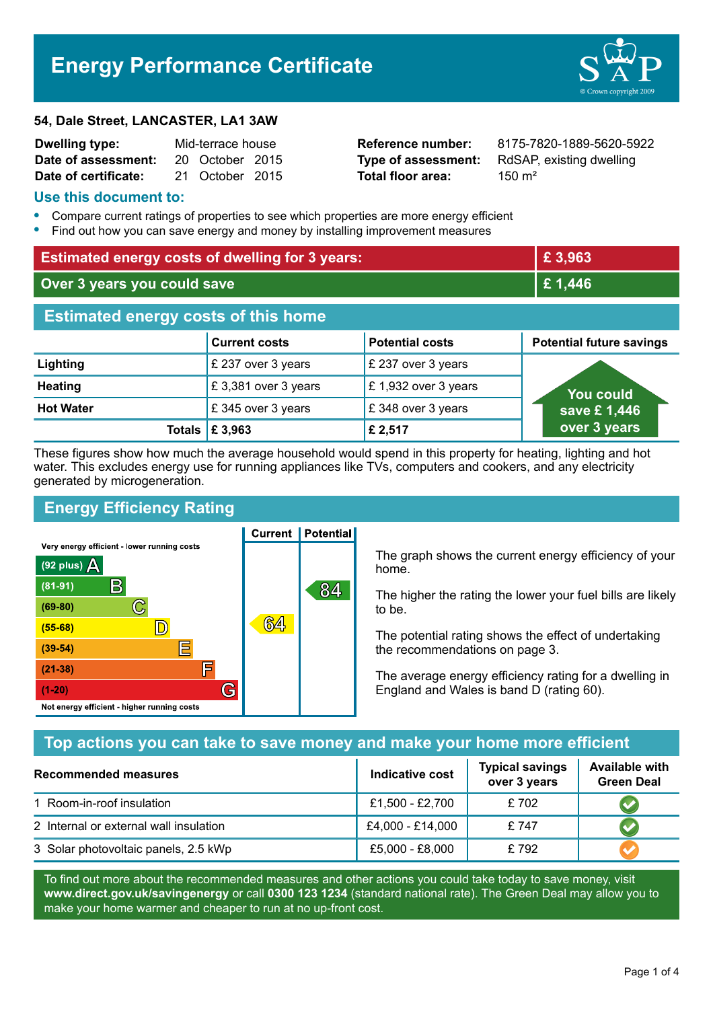# **Energy Performance Certificate**

#### **54, Dale Street, LANCASTER, LA1 3AW**

| <b>Dwelling type:</b> | Mid-terrace house |                 |  |
|-----------------------|-------------------|-----------------|--|
| Date of assessment:   |                   | 20 October 2015 |  |
| Date of certificate:  |                   | 21 October 2015 |  |

**Total floor area:** 2150 m<sup>2</sup>

**Reference number:** 8175-7820-1889-5620-5922 **Type of assessment:** RdSAP, existing dwelling

#### **Use this document to:**

- **•** Compare current ratings of properties to see which properties are more energy efficient
- **•** Find out how you can save energy and money by installing improvement measures

| <b>Estimated energy costs of dwelling for 3 years:</b> |                      |                        | £3,963                          |
|--------------------------------------------------------|----------------------|------------------------|---------------------------------|
| Over 3 years you could save                            |                      | £ 1,446                |                                 |
| <b>Estimated energy costs of this home</b>             |                      |                        |                                 |
|                                                        | <b>Current costs</b> | <b>Potential costs</b> | <b>Potential future savings</b> |
| Lighting                                               | £ 237 over 3 years   | £ 237 over 3 years     |                                 |
| <b>Heating</b>                                         | £3,381 over 3 years  | £1,932 over 3 years    | You could                       |
| <b>Hot Water</b>                                       | £345 over 3 years    | £348 over 3 years      | save £1,446                     |
| Totals                                                 | £ 3,963              | £ 2,517                | over 3 years                    |

These figures show how much the average household would spend in this property for heating, lighting and hot water. This excludes energy use for running appliances like TVs, computers and cookers, and any electricity generated by microgeneration.

**Current | Potential** 

## **Energy Efficiency Rating**

Very energy efficient - lower running costs



The graph shows the current energy efficiency of your home.

The higher the rating the lower your fuel bills are likely to be.

The potential rating shows the effect of undertaking the recommendations on page 3.

The average energy efficiency rating for a dwelling in England and Wales is band D (rating 60).

## **Top actions you can take to save money and make your home more efficient**

| Recommended measures                   | Indicative cost  | <b>Typical savings</b><br>over 3 years | <b>Available with</b><br><b>Green Deal</b> |
|----------------------------------------|------------------|----------------------------------------|--------------------------------------------|
| 1 Room-in-roof insulation              | £1,500 - £2,700  | £702                                   |                                            |
| 2 Internal or external wall insulation | £4,000 - £14,000 | £747                                   |                                            |
| 3 Solar photovoltaic panels, 2.5 kWp   | £5,000 - £8,000  | £792                                   |                                            |

To find out more about the recommended measures and other actions you could take today to save money, visit **www.direct.gov.uk/savingenergy** or call **0300 123 1234** (standard national rate). The Green Deal may allow you to make your home warmer and cheaper to run at no up-front cost.

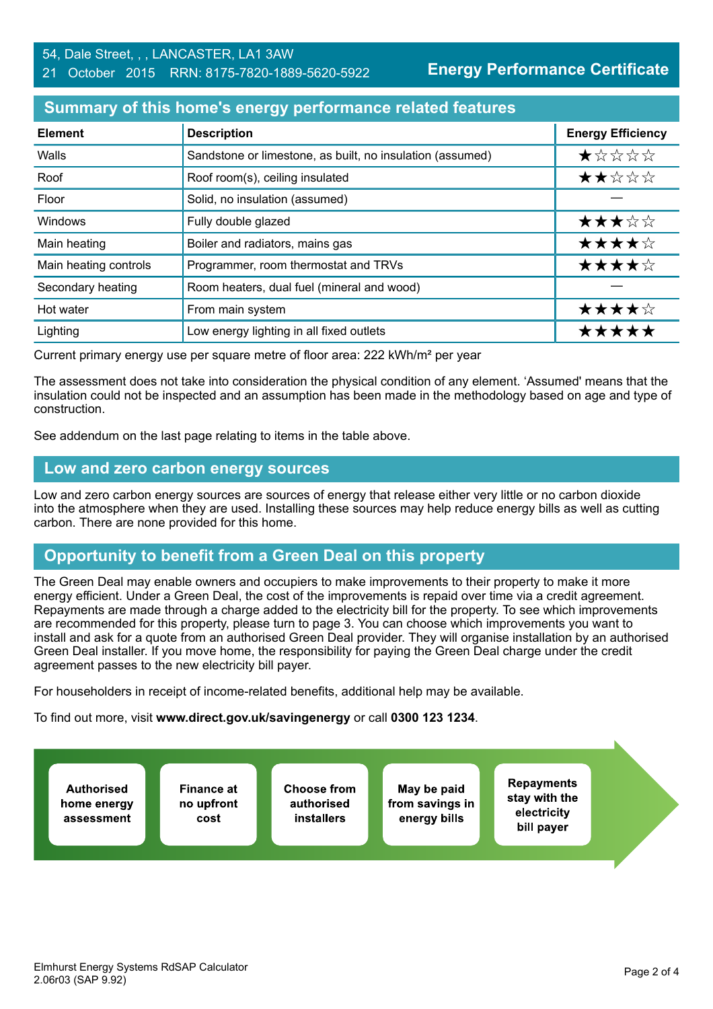**Energy Performance Certificate**

### **Summary of this home's energy performance related features**

| <b>Element</b>        | <b>Description</b>                                        | <b>Energy Efficiency</b> |
|-----------------------|-----------------------------------------------------------|--------------------------|
| Walls                 | Sandstone or limestone, as built, no insulation (assumed) | $\star$ * * * *          |
| Roof                  | Roof room(s), ceiling insulated                           | ★★☆☆☆                    |
| Floor                 | Solid, no insulation (assumed)                            |                          |
| Windows               | Fully double glazed                                       | ★★★☆☆                    |
| Main heating          | Boiler and radiators, mains gas                           | ★★★★☆                    |
| Main heating controls | Programmer, room thermostat and TRVs                      | ★★★★☆                    |
| Secondary heating     | Room heaters, dual fuel (mineral and wood)                |                          |
| Hot water             | From main system                                          | ★★★★☆                    |
| Lighting              | Low energy lighting in all fixed outlets                  | ***                      |

Current primary energy use per square metre of floor area: 222 kWh/m² per year

The assessment does not take into consideration the physical condition of any element. 'Assumed' means that the insulation could not be inspected and an assumption has been made in the methodology based on age and type of construction.

See addendum on the last page relating to items in the table above.

#### **Low and zero carbon energy sources**

Low and zero carbon energy sources are sources of energy that release either very little or no carbon dioxide into the atmosphere when they are used. Installing these sources may help reduce energy bills as well as cutting carbon. There are none provided for this home.

## **Opportunity to benefit from a Green Deal on this property**

The Green Deal may enable owners and occupiers to make improvements to their property to make it more energy efficient. Under a Green Deal, the cost of the improvements is repaid over time via a credit agreement. Repayments are made through a charge added to the electricity bill for the property. To see which improvements are recommended for this property, please turn to page 3. You can choose which improvements you want to install and ask for a quote from an authorised Green Deal provider. They will organise installation by an authorised Green Deal installer. If you move home, the responsibility for paying the Green Deal charge under the credit agreement passes to the new electricity bill payer.

For householders in receipt of income-related benefits, additional help may be available.

To find out more, visit **www.direct.gov.uk/savingenergy** or call **0300 123 1234**.

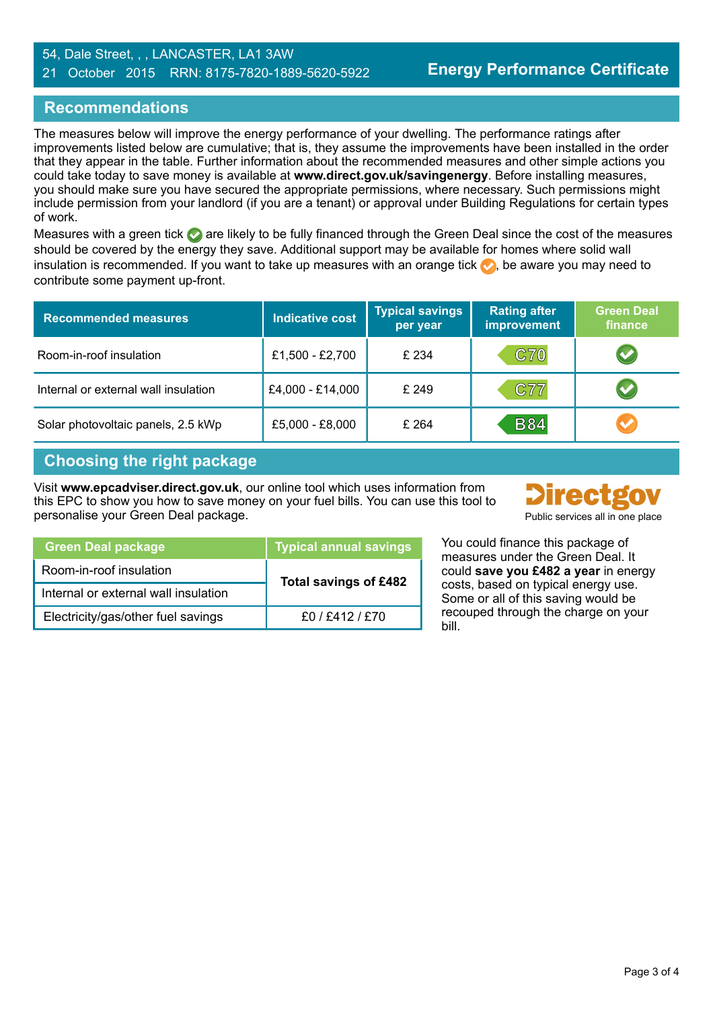#### 54, Dale Street, , , LANCASTER, LA1 3AW 21 October 2015 RRN: 8175-7820-1889-5620-5922

## **Recommendations**

The measures below will improve the energy performance of your dwelling. The performance ratings after improvements listed below are cumulative; that is, they assume the improvements have been installed in the order that they appear in the table. Further information about the recommended measures and other simple actions you could take today to save money is available at **www.direct.gov.uk/savingenergy**. Before installing measures, you should make sure you have secured the appropriate permissions, where necessary. Such permissions might include permission from your landlord (if you are a tenant) or approval under Building Regulations for certain types of work.

Measures with a green tick are likely to be fully financed through the Green Deal since the cost of the measures should be covered by the energy they save. Additional support may be available for homes where solid wall insulation is recommended. If you want to take up measures with an orange tick  $\bullet$ , be aware you may need to contribute some payment up-front.

| <b>Recommended measures</b>          | <b>Indicative cost</b> | <b>Typical savings</b><br>per year | <b>Rating after</b><br>improvement | <b>Green Deal</b><br>finance |
|--------------------------------------|------------------------|------------------------------------|------------------------------------|------------------------------|
| Room-in-roof insulation              | £1,500 - £2,700        | £ 234                              | <b>C70</b>                         |                              |
| Internal or external wall insulation | £4,000 - £14,000       | £ 249                              | C77                                |                              |
| Solar photovoltaic panels, 2.5 kWp   | £5,000 - £8,000        | £ 264                              | <b>B84</b>                         | $\bullet$                    |

## **Choosing the right package**

Visit **www.epcadviser.direct.gov.uk**, our online tool which uses information from this EPC to show you how to save money on your fuel bills. You can use this tool to personalise your Green Deal package.



| Public services all in one place |  |  |  |  |  |
|----------------------------------|--|--|--|--|--|
|----------------------------------|--|--|--|--|--|

| <b>Green Deal package</b>            | <b>Typical annual savings</b> |
|--------------------------------------|-------------------------------|
| Room-in-roof insulation              | <b>Total savings of £482</b>  |
| Internal or external wall insulation |                               |
| Electricity/gas/other fuel savings   | f0 / f412 / f70               |

You could finance this package of measures under the Green Deal. It could **save you £482 a year** in energy costs, based on typical energy use. Some or all of this saving would be recouped through the charge on your bill.